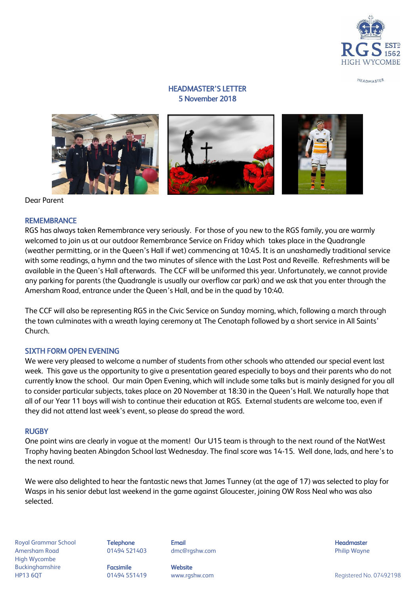

HEADMASTER

# HEADMASTER'S LETTER 5 November 2018



Dear Parent

#### **REMEMBRANCE**

RGS has always taken Remembrance very seriously. For those of you new to the RGS family, you are warmly welcomed to join us at our outdoor Remembrance Service on Friday which takes place in the Quadrangle (weather permitting, or in the Queen's Hall if wet) commencing at 10:45. It is an unashamedly traditional service with some readings, a hymn and the two minutes of silence with the Last Post and Reveille. Refreshments will be available in the Queen's Hall afterwards. The CCF will be uniformed this year. Unfortunately, we cannot provide any parking for parents (the Quadrangle is usually our overflow car park) and we ask that you enter through the Amersham Road, entrance under the Queen's Hall, and be in the quad by 10:40.

The CCF will also be representing RGS in the Civic Service on Sunday morning, which, following a march through the town culminates with a wreath laying ceremony at The Cenotaph followed by a short service in All Saints' Church.

### SIXTH FORM OPEN EVENING

We were very pleased to welcome a number of students from other schools who attended our special event last week. This gave us the opportunity to give a presentation geared especially to boys and their parents who do not currently know the school. Our main Open Evening, which will include some talks but is mainly designed for you all to consider particular subjects, takes place on 20 November at 18:30 in the Queen's Hall. We naturally hope that all of our Year 11 boys will wish to continue their education at RGS. External students are welcome too, even if they did not attend last week's event, so please do spread the word.

#### RUGBY

One point wins are clearly in vogue at the moment! Our U15 team is through to the next round of the NatWest Trophy having beaten Abingdon School last Wednesday. The final score was 14-15. Well done, lads, and here's to the next round.

We were also delighted to hear the fantastic news that James Tunney (at the age of 17) was selected to play for Wasps in his senior debut last weekend in the game against Gloucester, joining OW Ross Neal who was also selected.

Royal Grammar School **Telephone Email Headmaster Email Headmaster Headmaster Headmaster** Amersham Road 01494 521403 dmc@rgshw.com Philip Wayne High Wycombe Buckinghamshire **Facsimile Facsimile** Website

HP13 6QT and the CH494 551419 www.rgshw.com and the CH492198 megistered No. 07492198